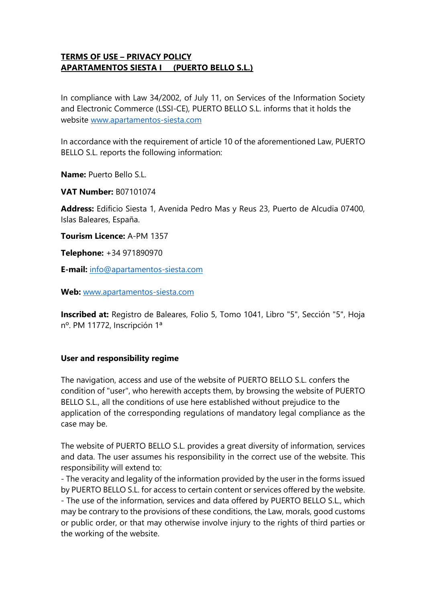# **TERMS OF USE – PRIVACY POLICY APARTAMENTOS SIESTA I (PUERTO BELLO S.L.)**

In compliance with Law 34/2002, of July 11, on Services of the Information Society and Electronic Commerce (LSSI-CE), PUERTO BELLO S.L. informs that it holds the website [www.apartamentos-siesta.com](http://www.apartamentos-siesta.com/)

In accordance with the requirement of article 10 of the aforementioned Law, PUERTO BELLO S.L. reports the following information:

**Name:** Puerto Bello S.L.

**VAT Number:** B07101074

**Address:** Edificio Siesta 1, Avenida Pedro Mas y Reus 23, Puerto de Alcudia 07400, Islas Baleares, España.

**Tourism Licence:** A-PM 1357

**Telephone:** +34 971890970

**E-mail:** [info@apartamentos-siesta.com](mailto:info@apartamentos-siesta.com)

**Web:** [www.apartamentos-siesta.com](http://www.apartamentos-siesta.com/)

**Inscribed at:** Registro de Baleares, Folio 5, Tomo 1041, Libro "5", Sección "5", Hoja nº. PM 11772, Inscripción 1ª

#### **User and responsibility regime**

The navigation, access and use of the website of PUERTO BELLO S.L. confers the condition of "user", who herewith accepts them, by browsing the website of PUERTO BELLO S.L., all the conditions of use here established without prejudice to the application of the corresponding regulations of mandatory legal compliance as the case may be.

The website of PUERTO BELLO S.L. provides a great diversity of information, services and data. The user assumes his responsibility in the correct use of the website. This responsibility will extend to:

- The veracity and legality of the information provided by the user in the forms issued by PUERTO BELLO S.L. for access to certain content or services offered by the website. - The use of the information, services and data offered by PUERTO BELLO S.L., which may be contrary to the provisions of these conditions, the Law, morals, good customs or public order, or that may otherwise involve injury to the rights of third parties or the working of the website.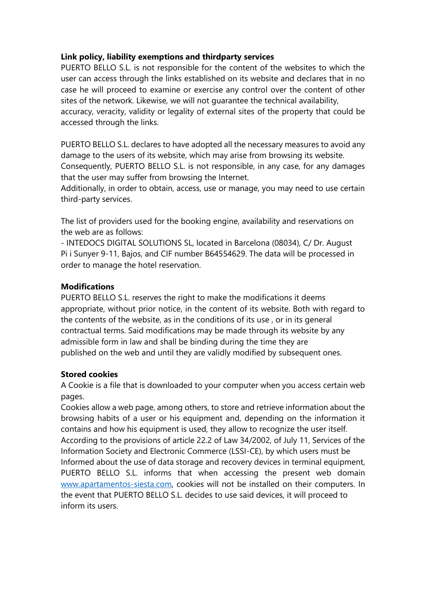## **Link policy, liability exemptions and thirdparty services**

PUERTO BELLO S.L. is not responsible for the content of the websites to which the user can access through the links established on its website and declares that in no case he will proceed to examine or exercise any control over the content of other sites of the network. Likewise, we will not guarantee the technical availability, accuracy, veracity, validity or legality of external sites of the property that could be accessed through the links.

PUERTO BELLO S.L. declares to have adopted all the necessary measures to avoid any damage to the users of its website, which may arise from browsing its website. Consequently, PUERTO BELLO S.L. is not responsible, in any case, for any damages that the user may suffer from browsing the Internet.

Additionally, in order to obtain, access, use or manage, you may need to use certain third-party services.

The list of providers used for the booking engine, availability and reservations on the web are as follows:

- INTEDOCS DIGITAL SOLUTIONS SL, located in Barcelona (08034), C/ Dr. August Pi i Sunyer 9-11, Bajos, and CIF number B64554629. The data will be processed in order to manage the hotel reservation.

## **Modifications**

PUERTO BELLO S.L. reserves the right to make the modifications it deems appropriate, without prior notice, in the content of its website. Both with regard to the contents of the website, as in the conditions of its use , or in its general contractual terms. Said modifications may be made through its website by any admissible form in law and shall be binding during the time they are published on the web and until they are validly modified by subsequent ones.

#### **Stored cookies**

A Cookie is a file that is downloaded to your computer when you access certain web pages.

Cookies allow a web page, among others, to store and retrieve information about the browsing habits of a user or his equipment and, depending on the information it contains and how his equipment is used, they allow to recognize the user itself. According to the provisions of article 22.2 of Law 34/2002, of July 11, Services of the Information Society and Electronic Commerce (LSSI-CE), by which users must be Informed about the use of data storage and recovery devices in terminal equipment, PUERTO BELLO S.L. informs that when accessing the present web domain [www.apartamentos-siesta.com,](http://www.apartamentos-siesta.com/) cookies will not be installed on their computers. In the event that PUERTO BELLO S.L. decides to use said devices, it will proceed to inform its users.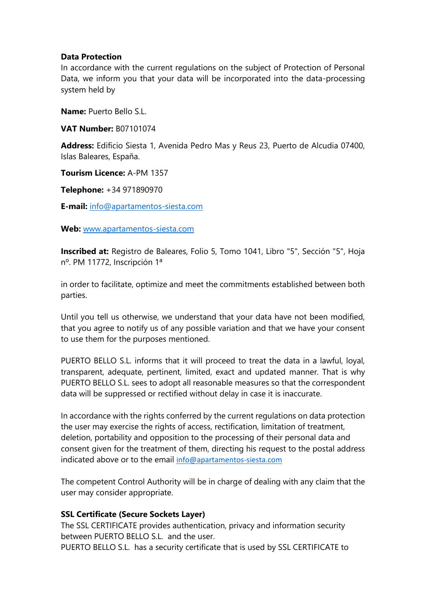#### **Data Protection**

In accordance with the current regulations on the subject of Protection of Personal Data, we inform you that your data will be incorporated into the data-processing system held by

**Name:** Puerto Bello S.L.

**VAT Number:** B07101074

**Address:** Edificio Siesta 1, Avenida Pedro Mas y Reus 23, Puerto de Alcudia 07400, Islas Baleares, España.

**Tourism Licence:** A-PM 1357

**Telephone:** +34 971890970

**E-mail:** [info@apartamentos-siesta.com](mailto:info@apartamentos-siesta.com)

**Web:** [www.apartamentos-siesta.com](http://www.apartamentos-siesta.com/)

**Inscribed at:** Registro de Baleares, Folio 5, Tomo 1041, Libro "5", Sección "5", Hoja nº. PM 11772, Inscripción 1ª

in order to facilitate, optimize and meet the commitments established between both parties.

Until you tell us otherwise, we understand that your data have not been modified, that you agree to notify us of any possible variation and that we have your consent to use them for the purposes mentioned.

PUERTO BELLO S.L. informs that it will proceed to treat the data in a lawful, loyal, transparent, adequate, pertinent, limited, exact and updated manner. That is why PUERTO BELLO S.L. sees to adopt all reasonable measures so that the correspondent data will be suppressed or rectified without delay in case it is inaccurate.

In accordance with the rights conferred by the current regulations on data protection the user may exercise the rights of access, rectification, limitation of treatment, deletion, portability and opposition to the processing of their personal data and consent given for the treatment of them, directing his request to the postal address indicated above or to the email [info@apartamentos-siesta.com](mailto:info@apartamentos-siesta.com)

The competent Control Authority will be in charge of dealing with any claim that the user may consider appropriate.

## **SSL Certificate (Secure Sockets Layer)**

The SSL CERTIFICATE provides authentication, privacy and information security between PUERTO BELLO S.L. and the user. PUERTO BELLO S.L. has a security certificate that is used by SSL CERTIFICATE to